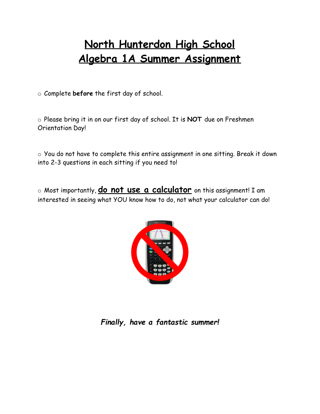# **North Hunterdon High School Algebra 1A Summer Assignment**

o Complete **before** the first day of school.

o Please bring it in on our first day of school. It is **NOT** due on Freshmen Orientation Day!

o You do not have to complete this entire assignment in one sitting. Break it down into 2-3 questions in each sitting if you need to!

o Most importantly, **do not use a calculator** on this assignment! I am interested in seeing what YOU know how to do, not what your calculator can do!



## *Finally, have a fantastic summer!*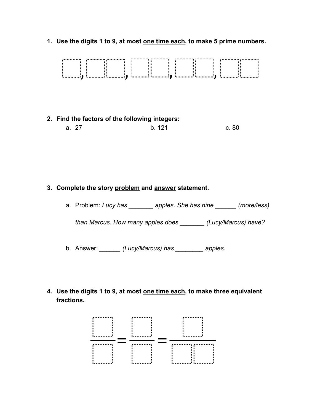**1. Use the digits 1 to 9, at most one time each , to make 5 prime numbers.** 



#### **3. Complete the story problem and answer statement.**

a. Problem: *Lucy has \_\_\_\_\_\_\_ apples. She has nine \_\_\_\_\_\_ (more/less)* 

*than Marcus. How many apples does \_\_\_\_\_\_\_ (Lucy/Marcus) have?* 

b. Answer: *\_\_\_\_\_\_ (Lucy/Marcus) has \_\_\_\_\_\_\_\_ apples.* 

**4. Use the digits 1 to 9, at most one time each , to make three equivalent fractions.** 

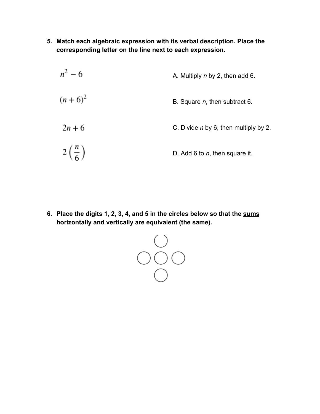- **5. Match each algebraic expression with its verbal description. Place the corresponding letter on the line next to each expression.** 
	- $n^2 6$ A. Multiply *n* by 2, then add 6.  $(n+6)^2$ B. Square *n*, then subtract 6.  $2n + 6$  C. Divide *n* by 6, then multiply by 2.  $2\left(\frac{n}{6}\right)$ D. Add 6 to *n*, then square it.

**6. Place the digits 1, 2, 3, 4, and 5 in the circles below so that the sums horizontally and vertically are equivalent (the same).** 

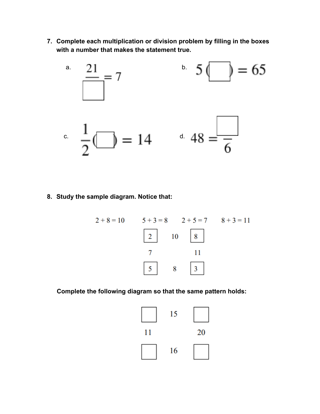**7. Complete each multiplication or division problem by filling in the boxes with a number that makes the statement true.** 



#### **8. Study the sample diagram. Notice that:**



 **Complete the following diagram so that the same pattern holds:** 

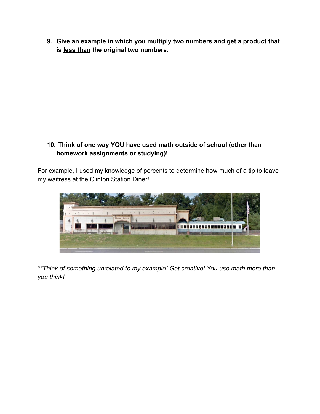**9. Give an example in which you multiply two numbers and get a product that is less than the original two numbers.** 

### **10. Think of one way YOU have used math outside of school (other than homework assignments or studying)!**

For example, I used my knowledge of percents to determine how much of a tip to leave my waitress at the Clinton Station Diner!



*\*\*Think of something unrelated to my example! Get creative! You use math more than you think!*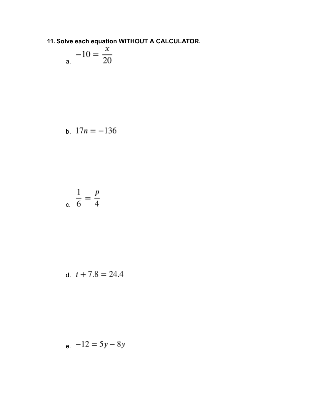## 11. Solve each equation WITHOUT A CALCULATOR.

$$
-10 = \frac{x}{20}
$$

b. 
$$
17n = -136
$$

$$
\frac{1}{6} = \frac{p}{4}
$$

d. 
$$
t + 7.8 = 24.4
$$

$$
e \quad -12 = 5y - 8y
$$